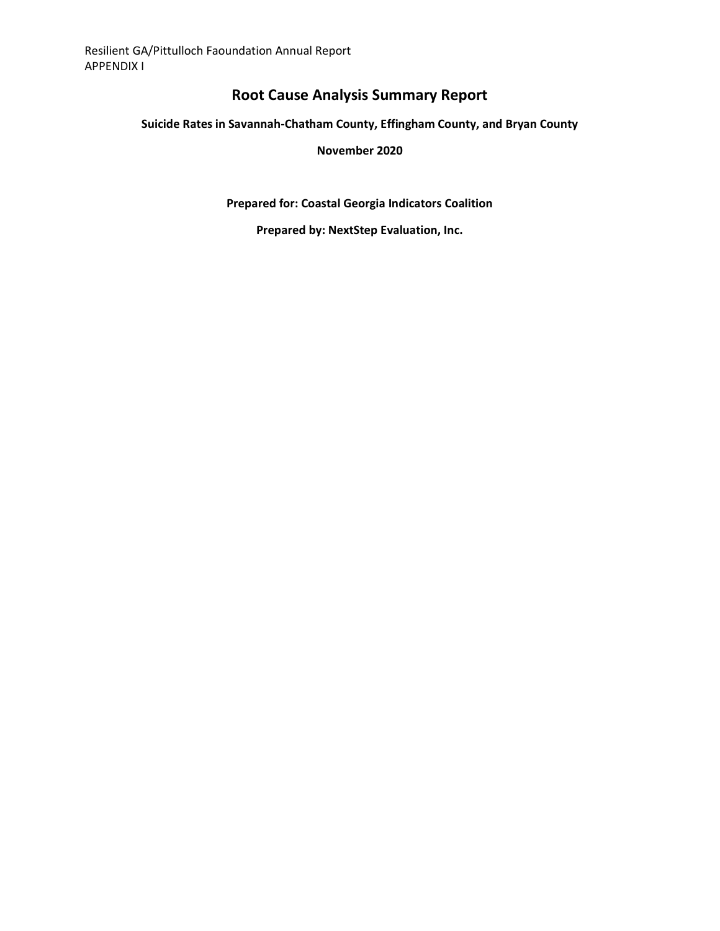# **Root Cause Analysis Summary Report**

### **Suicide Rates in Savannah-Chatham County, Effingham County, and Bryan County**

#### **November 2020**

**Prepared for: Coastal Georgia Indicators Coalition**

**Prepared by: NextStep Evaluation, Inc.**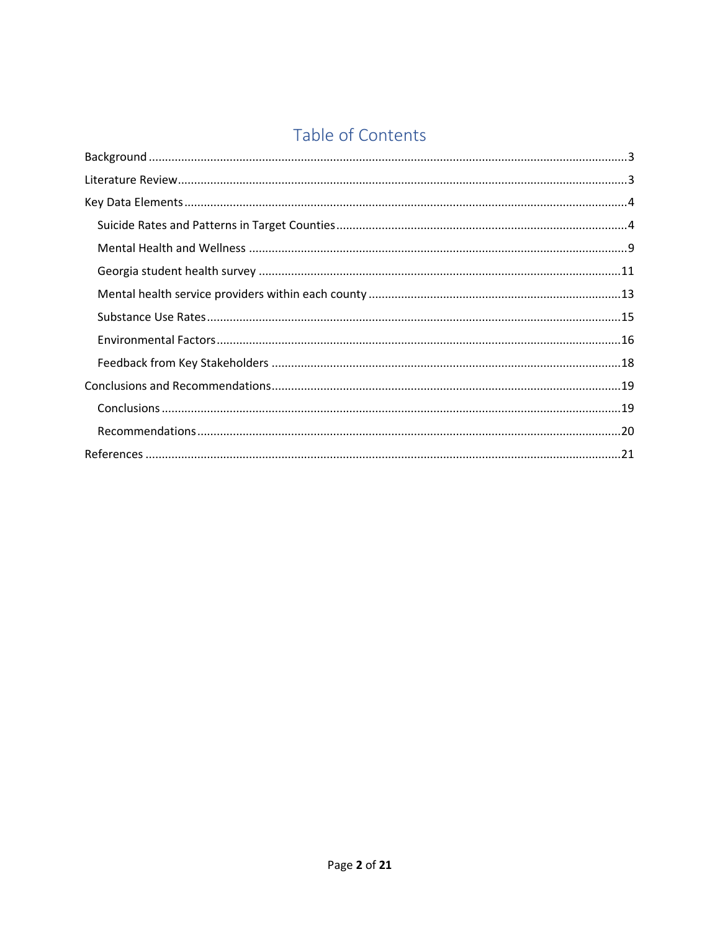# Table of Contents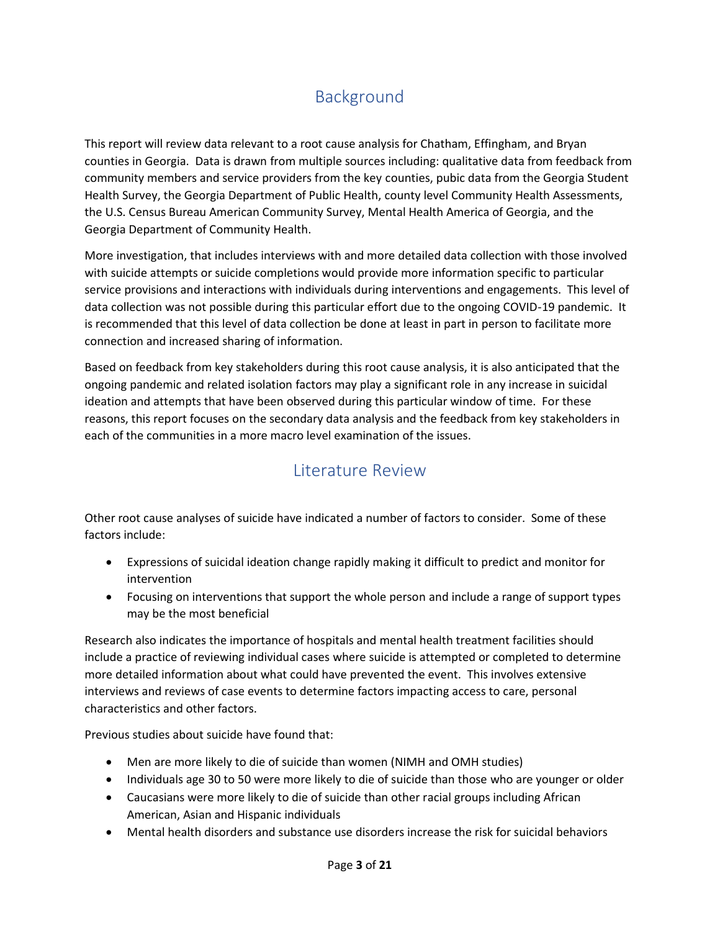# Background

<span id="page-2-0"></span>This report will review data relevant to a root cause analysis for Chatham, Effingham, and Bryan counties in Georgia. Data is drawn from multiple sources including: qualitative data from feedback from community members and service providers from the key counties, pubic data from the Georgia Student Health Survey, the Georgia Department of Public Health, county level Community Health Assessments, the U.S. Census Bureau American Community Survey, Mental Health America of Georgia, and the Georgia Department of Community Health.

More investigation, that includes interviews with and more detailed data collection with those involved with suicide attempts or suicide completions would provide more information specific to particular service provisions and interactions with individuals during interventions and engagements. This level of data collection was not possible during this particular effort due to the ongoing COVID-19 pandemic. It is recommended that this level of data collection be done at least in part in person to facilitate more connection and increased sharing of information.

Based on feedback from key stakeholders during this root cause analysis, it is also anticipated that the ongoing pandemic and related isolation factors may play a significant role in any increase in suicidal ideation and attempts that have been observed during this particular window of time. For these reasons, this report focuses on the secondary data analysis and the feedback from key stakeholders in each of the communities in a more macro level examination of the issues.

# Literature Review

<span id="page-2-1"></span>Other root cause analyses of suicide have indicated a number of factors to consider. Some of these factors include:

- Expressions of suicidal ideation change rapidly making it difficult to predict and monitor for intervention
- Focusing on interventions that support the whole person and include a range of support types may be the most beneficial

Research also indicates the importance of hospitals and mental health treatment facilities should include a practice of reviewing individual cases where suicide is attempted or completed to determine more detailed information about what could have prevented the event. This involves extensive interviews and reviews of case events to determine factors impacting access to care, personal characteristics and other factors.

Previous studies about suicide have found that:

- Men are more likely to die of suicide than women (NIMH and OMH studies)
- Individuals age 30 to 50 were more likely to die of suicide than those who are younger or older
- Caucasians were more likely to die of suicide than other racial groups including African American, Asian and Hispanic individuals
- Mental health disorders and substance use disorders increase the risk for suicidal behaviors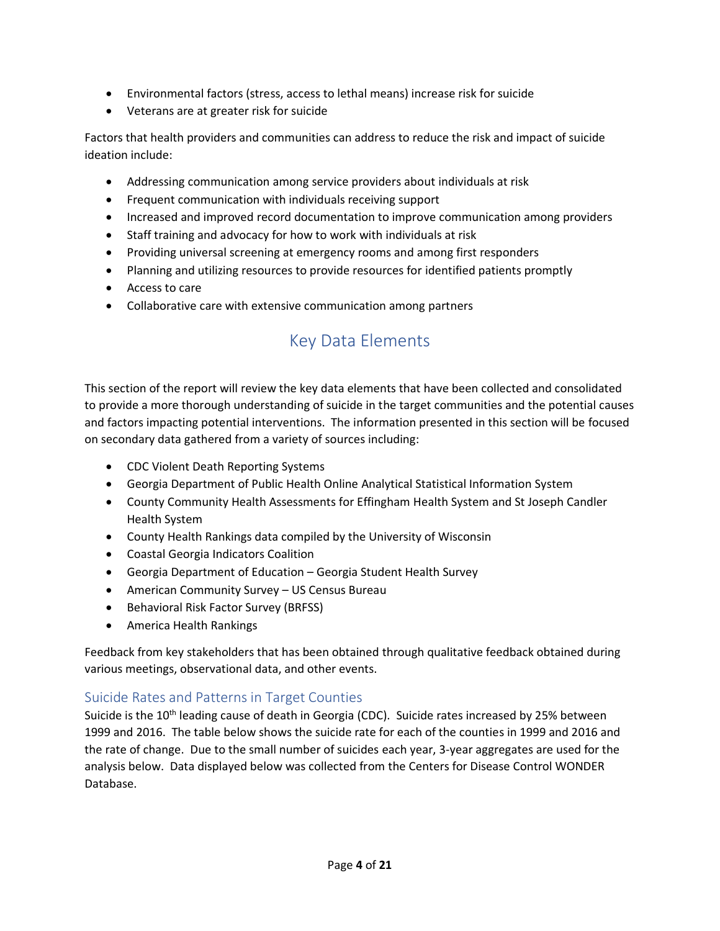- Environmental factors (stress, access to lethal means) increase risk for suicide
- Veterans are at greater risk for suicide

Factors that health providers and communities can address to reduce the risk and impact of suicide ideation include:

- Addressing communication among service providers about individuals at risk
- Frequent communication with individuals receiving support
- Increased and improved record documentation to improve communication among providers
- Staff training and advocacy for how to work with individuals at risk
- Providing universal screening at emergency rooms and among first responders
- Planning and utilizing resources to provide resources for identified patients promptly
- Access to care
- <span id="page-3-0"></span>• Collaborative care with extensive communication among partners

# Key Data Elements

This section of the report will review the key data elements that have been collected and consolidated to provide a more thorough understanding of suicide in the target communities and the potential causes and factors impacting potential interventions. The information presented in this section will be focused on secondary data gathered from a variety of sources including:

- CDC Violent Death Reporting Systems
- Georgia Department of Public Health Online Analytical Statistical Information System
- County Community Health Assessments for Effingham Health System and St Joseph Candler Health System
- County Health Rankings data compiled by the University of Wisconsin
- Coastal Georgia Indicators Coalition
- Georgia Department of Education Georgia Student Health Survey
- American Community Survey US Census Bureau
- Behavioral Risk Factor Survey (BRFSS)
- America Health Rankings

Feedback from key stakeholders that has been obtained through qualitative feedback obtained during various meetings, observational data, and other events.

## <span id="page-3-1"></span>Suicide Rates and Patterns in Target Counties

Suicide is the 10<sup>th</sup> leading cause of death in Georgia (CDC). Suicide rates increased by 25% between 1999 and 2016. The table below shows the suicide rate for each of the counties in 1999 and 2016 and the rate of change. Due to the small number of suicides each year, 3-year aggregates are used for the analysis below. Data displayed below was collected from the Centers for Disease Control WONDER Database.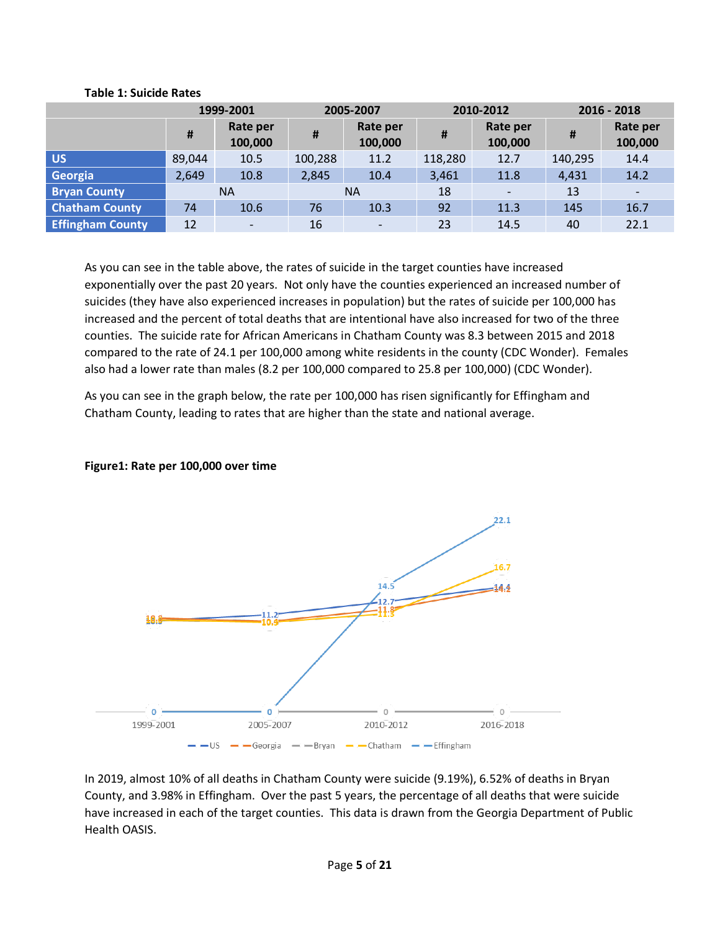|                         |        | 1999-2001<br>2005-2007   |         | 2010-2012                |         | $2016 - 2018$            |         |                          |
|-------------------------|--------|--------------------------|---------|--------------------------|---------|--------------------------|---------|--------------------------|
|                         | #      | Rate per<br>100,000      | #       | Rate per<br>100,000      | #       | Rate per<br>100,000      | #       | Rate per<br>100,000      |
| <b>US</b>               | 89,044 | 10.5                     | 100,288 | 11.2                     | 118,280 | 12.7                     | 140,295 | 14.4                     |
| Georgia                 | 2,649  | 10.8                     | 2,845   | 10.4                     | 3,461   | 11.8                     | 4,431   | 14.2                     |
| <b>Bryan County</b>     |        | <b>NA</b>                |         | <b>NA</b>                | 18      | $\overline{\phantom{a}}$ | 13      | $\overline{\phantom{a}}$ |
| <b>Chatham County</b>   | 74     | 10.6                     | 76      | 10.3                     | 92      | 11.3                     | 145     | 16.7                     |
| <b>Effingham County</b> | 12     | $\overline{\phantom{a}}$ | 16      | $\overline{\phantom{0}}$ | 23      | 14.5                     | 40      | 22.1                     |

#### **Table 1: Suicide Rates**

As you can see in the table above, the rates of suicide in the target counties have increased exponentially over the past 20 years. Not only have the counties experienced an increased number of suicides (they have also experienced increases in population) but the rates of suicide per 100,000 has increased and the percent of total deaths that are intentional have also increased for two of the three counties. The suicide rate for African Americans in Chatham County was 8.3 between 2015 and 2018 compared to the rate of 24.1 per 100,000 among white residents in the county (CDC Wonder). Females also had a lower rate than males (8.2 per 100,000 compared to 25.8 per 100,000) (CDC Wonder).

As you can see in the graph below, the rate per 100,000 has risen significantly for Effingham and Chatham County, leading to rates that are higher than the state and national average.

## **Figure1: Rate per 100,000 over time**



In 2019, almost 10% of all deaths in Chatham County were suicide (9.19%), 6.52% of deaths in Bryan County, and 3.98% in Effingham. Over the past 5 years, the percentage of all deaths that were suicide have increased in each of the target counties. This data is drawn from the Georgia Department of Public Health OASIS.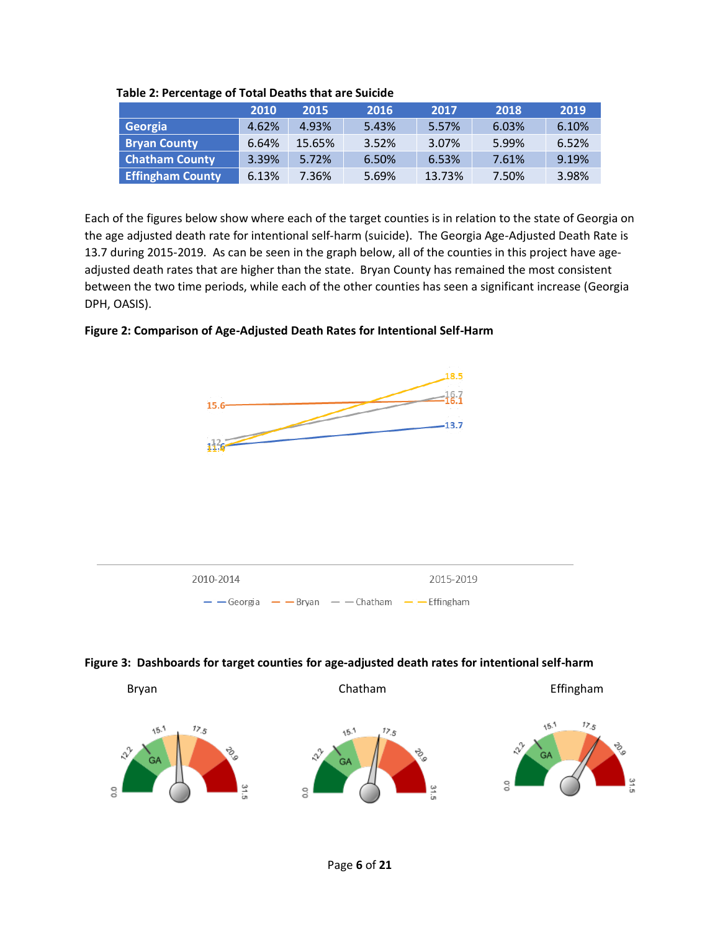|                         | 2010  | 2015   | 2016  | 2017   | 2018  | 2019  |
|-------------------------|-------|--------|-------|--------|-------|-------|
| Georgia                 | 4.62% | 4.93%  | 5.43% | 5.57%  | 6.03% | 6.10% |
| <b>Bryan County</b>     | 6.64% | 15.65% | 3.52% | 3.07%  | 5.99% | 6.52% |
| <b>Chatham County</b>   | 3.39% | 5.72%  | 6.50% | 6.53%  | 7.61% | 9.19% |
| <b>Effingham County</b> | 6.13% | 7.36%  | 5.69% | 13.73% | 7.50% | 3.98% |

**Table 2: Percentage of Total Deaths that are Suicide**

Each of the figures below show where each of the target counties is in relation to the state of Georgia on the age adjusted death rate for intentional self-harm (suicide). The Georgia Age-Adjusted Death Rate is 13.7 during 2015-2019. As can be seen in the graph below, all of the counties in this project have ageadjusted death rates that are higher than the state. Bryan County has remained the most consistent between the two time periods, while each of the other counties has seen a significant increase (Georgia DPH, OASIS).

## **Figure 2: Comparison of Age-Adjusted Death Rates for Intentional Self-Harm**



## **Figure 3: Dashboards for target counties for age-adjusted death rates for intentional self-harm**

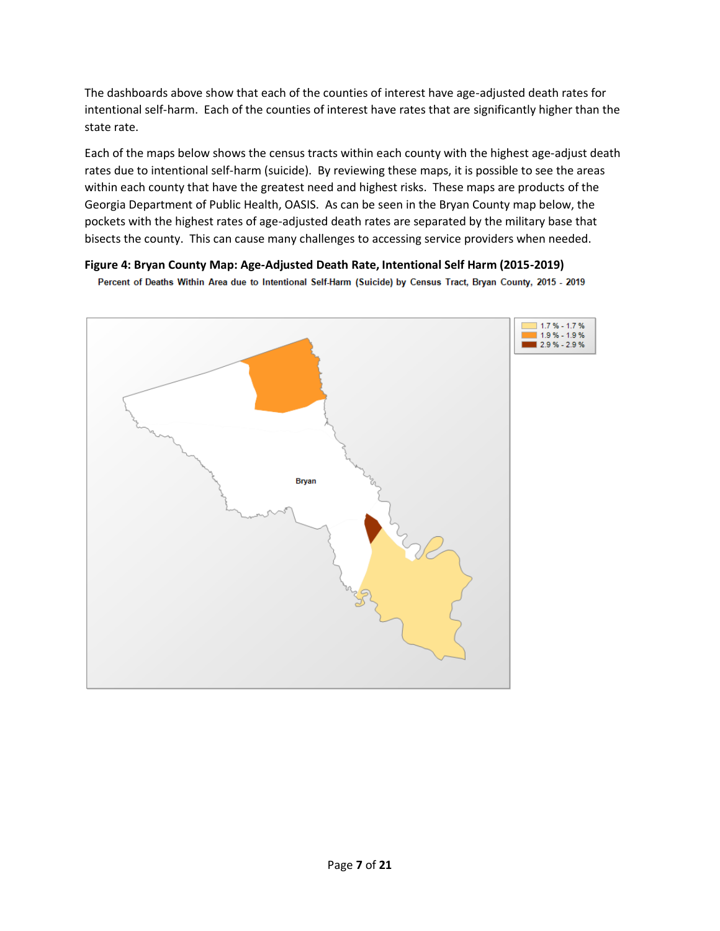The dashboards above show that each of the counties of interest have age-adjusted death rates for intentional self-harm. Each of the counties of interest have rates that are significantly higher than the state rate.

Each of the maps below shows the census tracts within each county with the highest age-adjust death rates due to intentional self-harm (suicide). By reviewing these maps, it is possible to see the areas within each county that have the greatest need and highest risks. These maps are products of the Georgia Department of Public Health, OASIS. As can be seen in the Bryan County map below, the pockets with the highest rates of age-adjusted death rates are separated by the military base that bisects the county. This can cause many challenges to accessing service providers when needed.

### **Figure 4: Bryan County Map: Age-Adjusted Death Rate, Intentional Self Harm (2015-2019)**

Percent of Deaths Within Area due to Intentional Self-Harm (Suicide) by Census Tract, Bryan County, 2015 - 2019

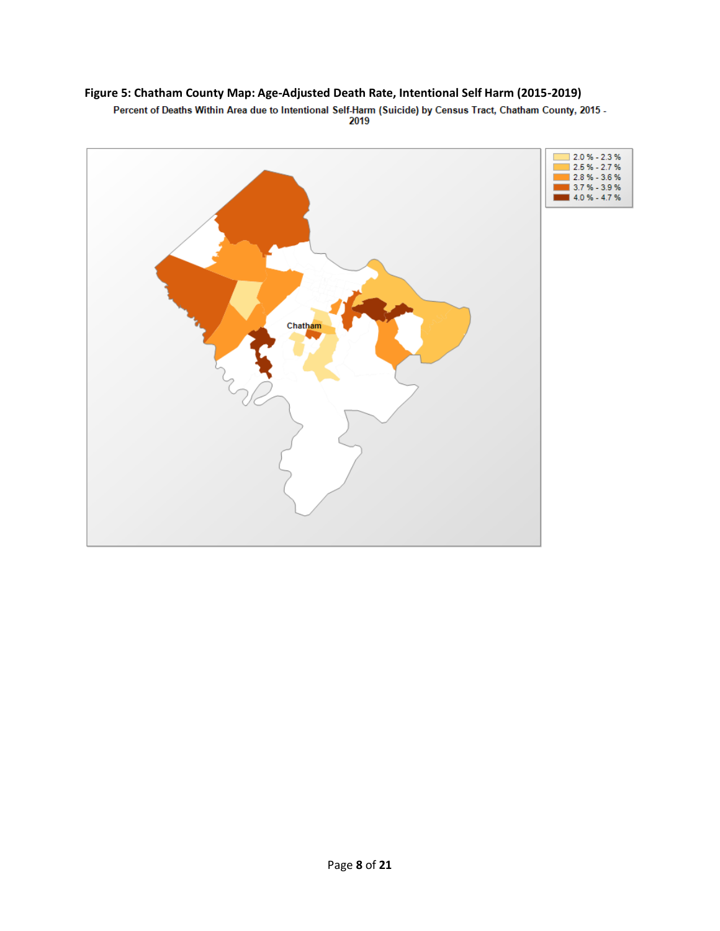## **Figure 5: Chatham County Map: Age-Adjusted Death Rate, Intentional Self Harm (2015-2019)**

Percent of Deaths Within Area due to Intentional Self-Harm (Suicide) by Census Tract, Chatham County, 2015 -

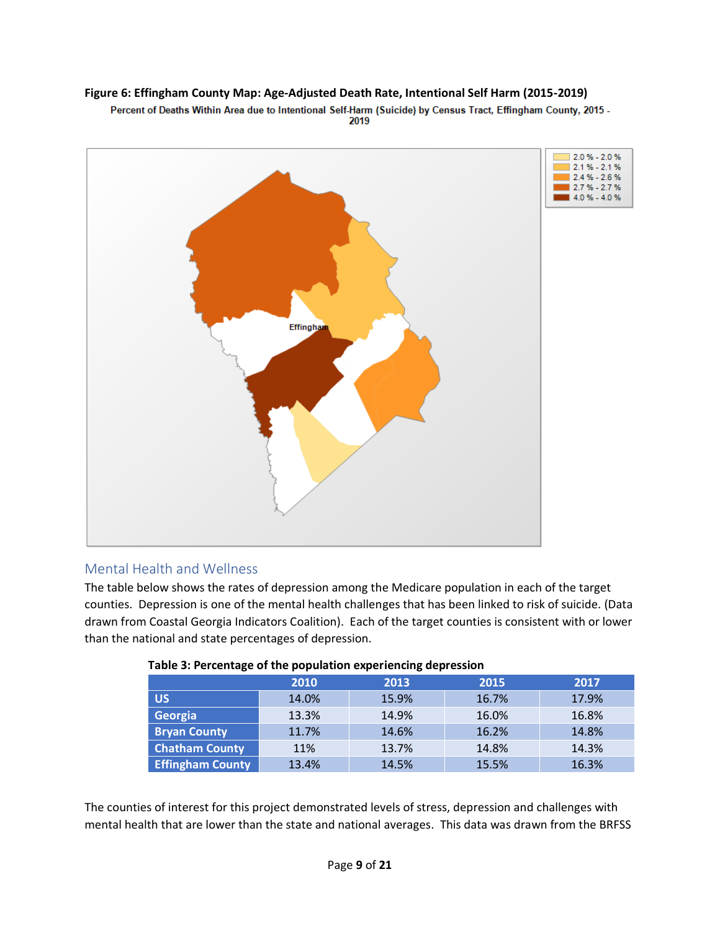## **Figure 6: Effingham County Map: Age-Adjusted Death Rate, Intentional Self Harm (2015-2019)**

Percent of Deaths Within Area due to Intentional Self-Harm (Suicide) by Census Tract, Effingham County, 2015 -2019



## <span id="page-8-0"></span>Mental Health and Wellness

The table below shows the rates of depression among the Medicare population in each of the target counties. Depression is one of the mental health challenges that has been linked to risk of suicide. (Data drawn from Coastal Georgia Indicators Coalition). Each of the target counties is consistent with or lower than the national and state percentages of depression.

|                         | 2010  | 2013  | 2015  | 2017  |
|-------------------------|-------|-------|-------|-------|
| <b>US</b>               | 14.0% | 15.9% | 16.7% | 17.9% |
| Georgia                 | 13.3% | 14.9% | 16.0% | 16.8% |
| <b>Bryan County</b>     | 11.7% | 14.6% | 16.2% | 14.8% |
| <b>Chatham County</b>   | 11%   | 13.7% | 14.8% | 14.3% |
| <b>Effingham County</b> | 13.4% | 14.5% | 15.5% | 16.3% |

#### **Table 3: Percentage of the population experiencing depression**

The counties of interest for this project demonstrated levels of stress, depression and challenges with mental health that are lower than the state and national averages. This data was drawn from the BRFSS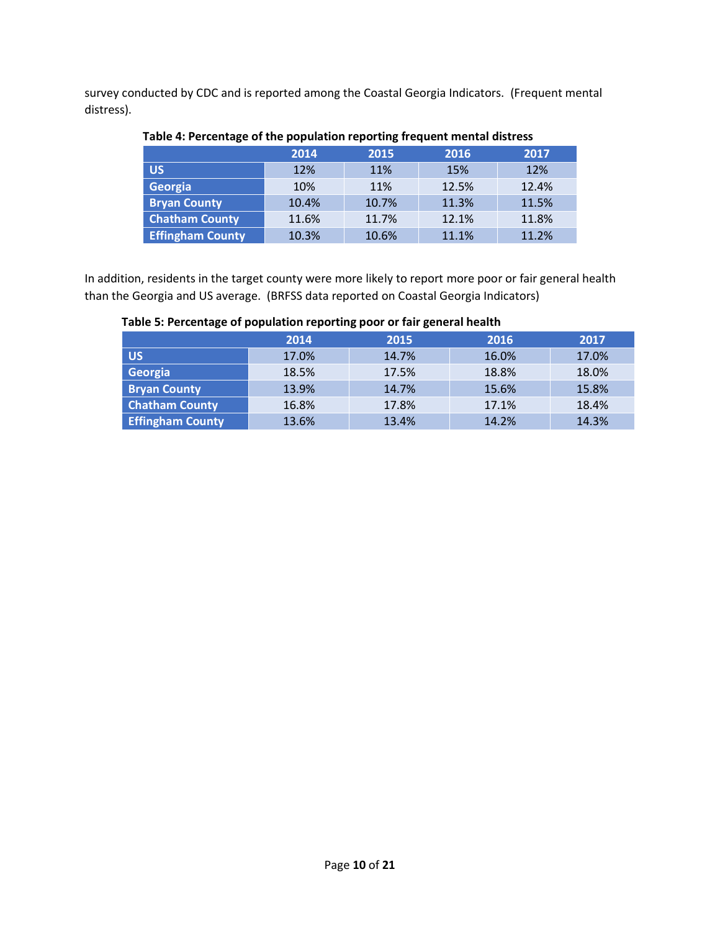survey conducted by CDC and is reported among the Coastal Georgia Indicators. (Frequent mental distress).

|                         | 2014  | 2015  | 2016  | 2017  |
|-------------------------|-------|-------|-------|-------|
| <b>US</b>               | 12%   | 11%   | 15%   | 12%   |
| Georgia                 | 10%   | 11%   | 12.5% | 12.4% |
| <b>Bryan County</b>     | 10.4% | 10.7% | 11.3% | 11.5% |
| <b>Chatham County</b>   | 11.6% | 11.7% | 12.1% | 11.8% |
| <b>Effingham County</b> | 10.3% | 10.6% | 11.1% | 11.2% |

## **Table 4: Percentage of the population reporting frequent mental distress**

In addition, residents in the target county were more likely to report more poor or fair general health than the Georgia and US average. (BRFSS data reported on Coastal Georgia Indicators)

|                         | 2014  | 2015  | 2016  | 2017  |
|-------------------------|-------|-------|-------|-------|
| US,                     | 17.0% | 14.7% | 16.0% | 17.0% |
| Georgia                 | 18.5% | 17.5% | 18.8% | 18.0% |
| <b>Bryan County</b>     | 13.9% | 14.7% | 15.6% | 15.8% |
| <b>Chatham County</b>   | 16.8% | 17.8% | 17.1% | 18.4% |
| <b>Effingham County</b> | 13.6% | 13.4% | 14.2% | 14.3% |

#### **Table 5: Percentage of population reporting poor or fair general health**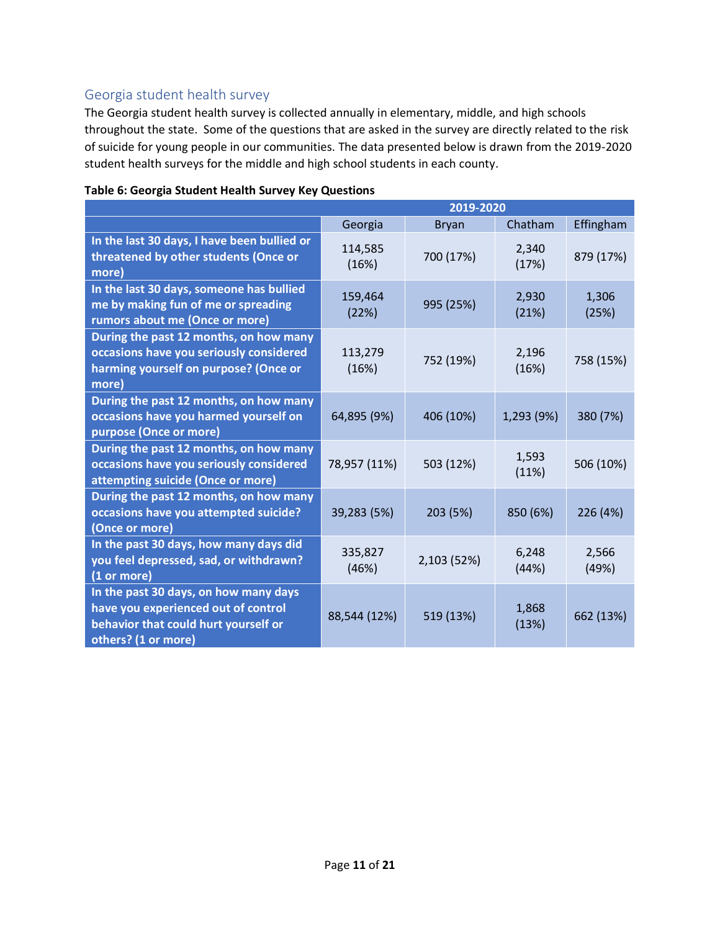# <span id="page-10-0"></span>Georgia student health survey

The Georgia student health survey is collected annually in elementary, middle, and high schools throughout the state. Some of the questions that are asked in the survey are directly related to the risk of suicide for young people in our communities. The data presented below is drawn from the 2019-2020 student health surveys for the middle and high school students in each county.

|                                                                                                                                             | 2019-2020        |              |                |                |  |
|---------------------------------------------------------------------------------------------------------------------------------------------|------------------|--------------|----------------|----------------|--|
|                                                                                                                                             | Georgia          | <b>Bryan</b> | Chatham        | Effingham      |  |
| In the last 30 days, I have been bullied or<br>threatened by other students (Once or<br>more)                                               | 114,585<br>(16%) | 700 (17%)    | 2,340<br>(17%) | 879 (17%)      |  |
| In the last 30 days, someone has bullied<br>me by making fun of me or spreading<br>rumors about me (Once or more)                           | 159,464<br>(22%) | 995 (25%)    | 2,930<br>(21%) | 1,306<br>(25%) |  |
| During the past 12 months, on how many<br>occasions have you seriously considered<br>harming yourself on purpose? (Once or<br>more)         | 113,279<br>(16%) | 752 (19%)    | 2,196<br>(16%) | 758 (15%)      |  |
| During the past 12 months, on how many<br>occasions have you harmed yourself on<br>purpose (Once or more)                                   | 64,895 (9%)      | 406 (10%)    | 1,293 (9%)     | 380 (7%)       |  |
| During the past 12 months, on how many<br>occasions have you seriously considered<br>attempting suicide (Once or more)                      | 78,957 (11%)     | 503 (12%)    | 1,593<br>(11%) | 506 (10%)      |  |
| During the past 12 months, on how many<br>occasions have you attempted suicide?<br>(Once or more)                                           | 39,283 (5%)      | 203 (5%)     | 850 (6%)       | 226 (4%)       |  |
| In the past 30 days, how many days did<br>you feel depressed, sad, or withdrawn?<br>(1 or more)                                             | 335,827<br>(46%) | 2,103 (52%)  | 6,248<br>(44%) | 2,566<br>(49%) |  |
| In the past 30 days, on how many days<br>have you experienced out of control<br>behavior that could hurt yourself or<br>others? (1 or more) | 88,544 (12%)     | 519 (13%)    | 1,868<br>(13%) | 662 (13%)      |  |

#### **Table 6: Georgia Student Health Survey Key Questions**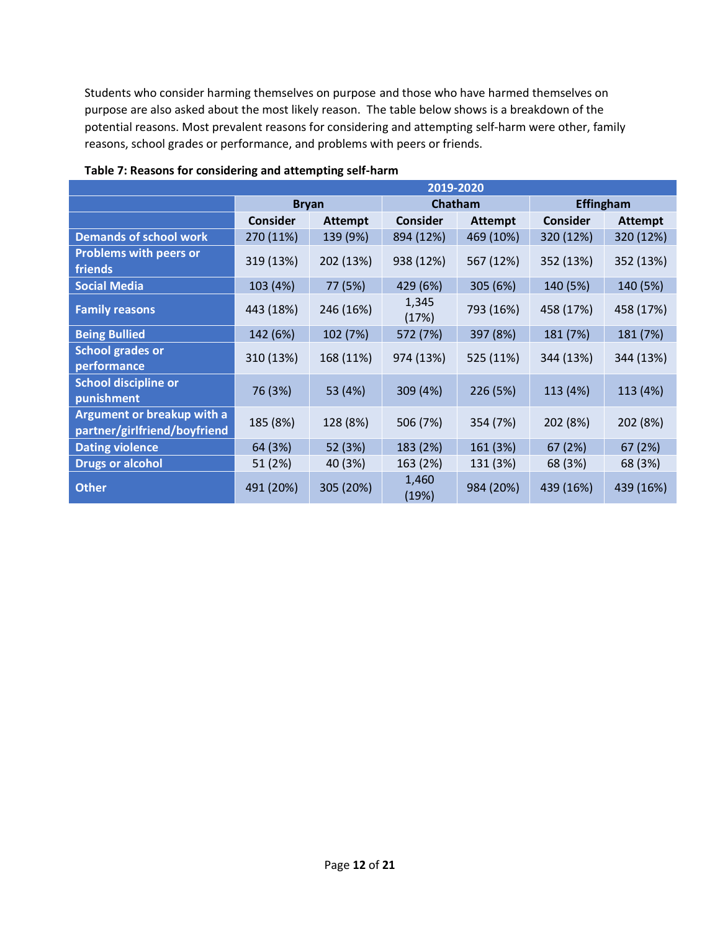Students who consider harming themselves on purpose and those who have harmed themselves on purpose are also asked about the most likely reason. The table below shows is a breakdown of the potential reasons. Most prevalent reasons for considering and attempting self-harm were other, family reasons, school grades or performance, and problems with peers or friends.

|                                                                   | 2019-2020       |                |                 |                |                 |                |
|-------------------------------------------------------------------|-----------------|----------------|-----------------|----------------|-----------------|----------------|
|                                                                   | <b>Bryan</b>    |                | Chatham         |                | Effingham       |                |
|                                                                   | <b>Consider</b> | <b>Attempt</b> | <b>Consider</b> | <b>Attempt</b> | <b>Consider</b> | <b>Attempt</b> |
| <b>Demands of school work</b>                                     | 270 (11%)       | 139 (9%)       | 894 (12%)       | 469 (10%)      | 320 (12%)       | 320 (12%)      |
| <b>Problems with peers or</b><br>friends                          | 319 (13%)       | 202 (13%)      | 938 (12%)       | 567 (12%)      | 352 (13%)       | 352 (13%)      |
| <b>Social Media</b>                                               | 103 (4%)        | 77 (5%)        | 429 (6%)        | 305 (6%)       | 140 (5%)        | 140 (5%)       |
| <b>Family reasons</b>                                             | 443 (18%)       | 246 (16%)      | 1,345<br>(17%)  | 793 (16%)      | 458 (17%)       | 458 (17%)      |
| <b>Being Bullied</b>                                              | 142 (6%)        | 102 (7%)       | 572 (7%)        | 397 (8%)       | 181 (7%)        | 181 (7%)       |
| <b>School grades or</b><br>performance                            | 310 (13%)       | 168 (11%)      | 974 (13%)       | 525 (11%)      | 344 (13%)       | 344 (13%)      |
| <b>School discipline or</b><br>punishment                         | 76 (3%)         | 53 (4%)        | 309 (4%)        | 226 (5%)       | 113 (4%)        | 113 (4%)       |
| <b>Argument or breakup with a</b><br>partner/girlfriend/boyfriend | 185 (8%)        | 128 (8%)       | 506 (7%)        | 354 (7%)       | 202 (8%)        | 202 (8%)       |
| <b>Dating violence</b>                                            | 64 (3%)         | 52 (3%)        | 183 (2%)        | 161 (3%)       | 67 (2%)         | 67 (2%)        |
| <b>Drugs or alcohol</b>                                           | 51 (2%)         | 40 (3%)        | 163 (2%)        | 131 (3%)       | 68 (3%)         | 68 (3%)        |
| <b>Other</b>                                                      | 491 (20%)       | 305 (20%)      | 1,460<br>(19%)  | 984 (20%)      | 439 (16%)       | 439 (16%)      |

#### **Table 7: Reasons for considering and attempting self-harm**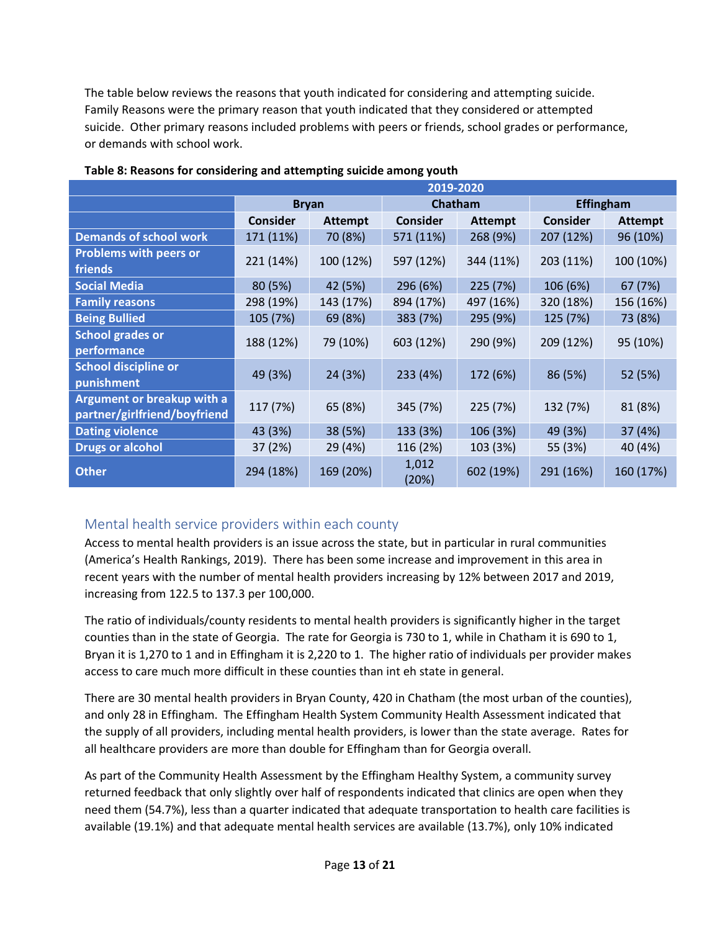The table below reviews the reasons that youth indicated for considering and attempting suicide. Family Reasons were the primary reason that youth indicated that they considered or attempted suicide. Other primary reasons included problems with peers or friends, school grades or performance, or demands with school work.

|                                                            | 2019-2020       |                |                 |                |                 |                |
|------------------------------------------------------------|-----------------|----------------|-----------------|----------------|-----------------|----------------|
|                                                            | <b>Bryan</b>    |                | Chatham         |                | Effingham       |                |
|                                                            | <b>Consider</b> | <b>Attempt</b> | <b>Consider</b> | <b>Attempt</b> | <b>Consider</b> | <b>Attempt</b> |
| <b>Demands of school work</b>                              | 171 (11%)       | 70 (8%)        | 571 (11%)       | 268 (9%)       | 207 (12%)       | 96 (10%)       |
| <b>Problems with peers or</b><br>friends                   | 221 (14%)       | 100 (12%)      | 597 (12%)       | 344 (11%)      | 203 (11%)       | 100 (10%)      |
| <b>Social Media</b>                                        | 80 (5%)         | 42 (5%)        | 296 (6%)        | 225 (7%)       | 106 (6%)        | 67 (7%)        |
| <b>Family reasons</b>                                      | 298 (19%)       | 143 (17%)      | 894 (17%)       | 497 (16%)      | 320 (18%)       | 156 (16%)      |
| <b>Being Bullied</b>                                       | 105 (7%)        | 69 (8%)        | 383 (7%)        | 295 (9%)       | 125 (7%)        | 73 (8%)        |
| <b>School grades or</b><br>performance                     | 188 (12%)       | 79 (10%)       | 603 (12%)       | 290 (9%)       | 209 (12%)       | 95 (10%)       |
| <b>School discipline or</b><br>punishment                  | 49 (3%)         | 24 (3%)        | 233 (4%)        | 172 (6%)       | 86 (5%)         | 52 (5%)        |
| Argument or breakup with a<br>partner/girlfriend/boyfriend | 117 (7%)        | 65 (8%)        | 345 (7%)        | 225 (7%)       | 132 (7%)        | 81 (8%)        |
| <b>Dating violence</b>                                     | 43 (3%)         | 38 (5%)        | 133 (3%)        | 106 (3%)       | 49 (3%)         | 37 (4%)        |
| <b>Drugs or alcohol</b>                                    | 37 (2%)         | 29 (4%)        | 116 (2%)        | 103 (3%)       | 55 (3%)         | 40 (4%)        |
| <b>Other</b>                                               | 294 (18%)       | 169 (20%)      | 1,012<br>(20%)  | 602 (19%)      | 291 (16%)       | 160 (17%)      |

#### **Table 8: Reasons for considering and attempting suicide among youth**

# <span id="page-12-0"></span>Mental health service providers within each county

Access to mental health providers is an issue across the state, but in particular in rural communities (America's Health Rankings, 2019). There has been some increase and improvement in this area in recent years with the number of mental health providers increasing by 12% between 2017 and 2019, increasing from 122.5 to 137.3 per 100,000.

The ratio of individuals/county residents to mental health providers is significantly higher in the target counties than in the state of Georgia. The rate for Georgia is 730 to 1, while in Chatham it is 690 to 1, Bryan it is 1,270 to 1 and in Effingham it is 2,220 to 1. The higher ratio of individuals per provider makes access to care much more difficult in these counties than int eh state in general.

There are 30 mental health providers in Bryan County, 420 in Chatham (the most urban of the counties), and only 28 in Effingham. The Effingham Health System Community Health Assessment indicated that the supply of all providers, including mental health providers, is lower than the state average. Rates for all healthcare providers are more than double for Effingham than for Georgia overall.

As part of the Community Health Assessment by the Effingham Healthy System, a community survey returned feedback that only slightly over half of respondents indicated that clinics are open when they need them (54.7%), less than a quarter indicated that adequate transportation to health care facilities is available (19.1%) and that adequate mental health services are available (13.7%), only 10% indicated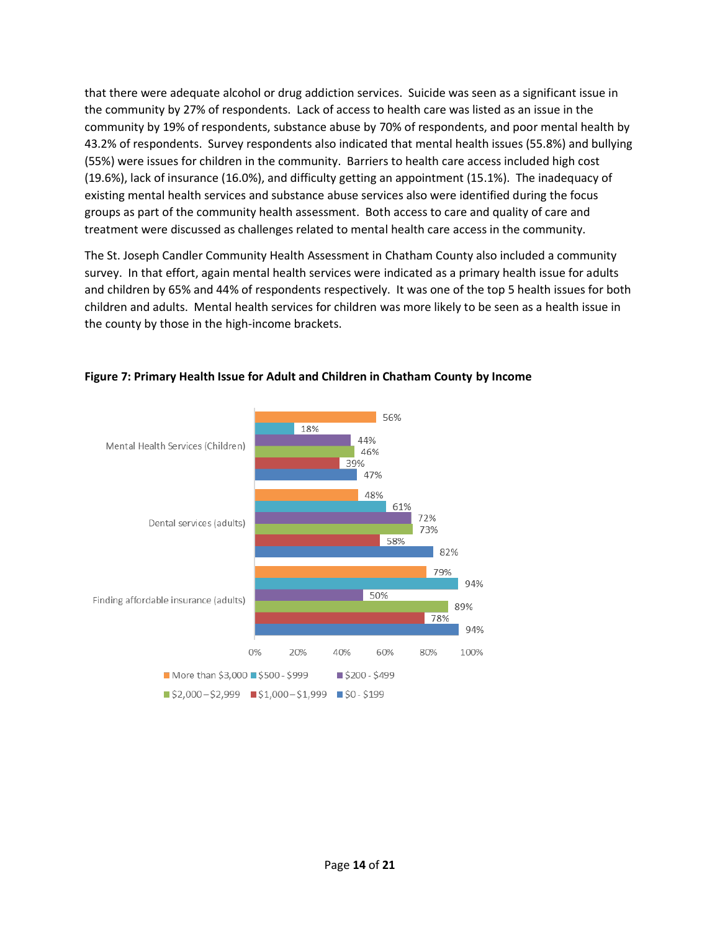that there were adequate alcohol or drug addiction services. Suicide was seen as a significant issue in the community by 27% of respondents. Lack of access to health care was listed as an issue in the community by 19% of respondents, substance abuse by 70% of respondents, and poor mental health by 43.2% of respondents. Survey respondents also indicated that mental health issues (55.8%) and bullying (55%) were issues for children in the community. Barriers to health care access included high cost (19.6%), lack of insurance (16.0%), and difficulty getting an appointment (15.1%). The inadequacy of existing mental health services and substance abuse services also were identified during the focus groups as part of the community health assessment. Both access to care and quality of care and treatment were discussed as challenges related to mental health care access in the community.

The St. Joseph Candler Community Health Assessment in Chatham County also included a community survey. In that effort, again mental health services were indicated as a primary health issue for adults and children by 65% and 44% of respondents respectively. It was one of the top 5 health issues for both children and adults. Mental health services for children was more likely to be seen as a health issue in the county by those in the high-income brackets.



## **Figure 7: Primary Health Issue for Adult and Children in Chatham County by Income**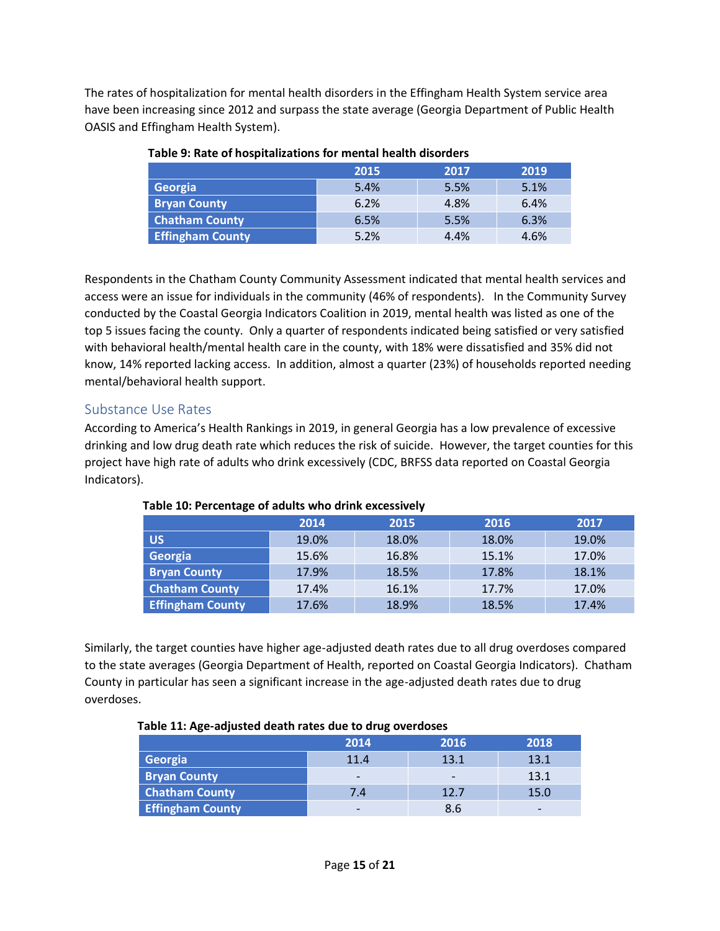The rates of hospitalization for mental health disorders in the Effingham Health System service area have been increasing since 2012 and surpass the state average (Georgia Department of Public Health OASIS and Effingham Health System).

|                         | 2015 | 2017 | 2019 |
|-------------------------|------|------|------|
| Georgia                 | 5.4% | 5.5% | 5.1% |
| <b>Bryan County</b>     | 6.2% | 4.8% | 6.4% |
| <b>Chatham County</b>   | 6.5% | 5.5% | 6.3% |
| <b>Effingham County</b> | 5.2% | 4.4% | 4.6% |

## **Table 9: Rate of hospitalizations for mental health disorders**

Respondents in the Chatham County Community Assessment indicated that mental health services and access were an issue for individuals in the community (46% of respondents). In the Community Survey conducted by the Coastal Georgia Indicators Coalition in 2019, mental health was listed as one of the top 5 issues facing the county. Only a quarter of respondents indicated being satisfied or very satisfied with behavioral health/mental health care in the county, with 18% were dissatisfied and 35% did not know, 14% reported lacking access. In addition, almost a quarter (23%) of households reported needing mental/behavioral health support.

# <span id="page-14-0"></span>Substance Use Rates

According to America's Health Rankings in 2019, in general Georgia has a low prevalence of excessive drinking and low drug death rate which reduces the risk of suicide. However, the target counties for this project have high rate of adults who drink excessively (CDC, BRFSS data reported on Coastal Georgia Indicators).

|                         | 2014  | 2015  | 2016  | 2017  |
|-------------------------|-------|-------|-------|-------|
| <b>US</b>               | 19.0% | 18.0% | 18.0% | 19.0% |
| Georgia                 | 15.6% | 16.8% | 15.1% | 17.0% |
| <b>Bryan County</b>     | 17.9% | 18.5% | 17.8% | 18.1% |
| <b>Chatham County</b>   | 17.4% | 16.1% | 17.7% | 17.0% |
| <b>Effingham County</b> | 17.6% | 18.9% | 18.5% | 17.4% |

#### **Table 10: Percentage of adults who drink excessively**

Similarly, the target counties have higher age-adjusted death rates due to all drug overdoses compared to the state averages (Georgia Department of Health, reported on Coastal Georgia Indicators). Chatham County in particular has seen a significant increase in the age-adjusted death rates due to drug overdoses.

## **Table 11: Age-adjusted death rates due to drug overdoses**

|                         | 2014                     | 2016 | 2018 |
|-------------------------|--------------------------|------|------|
| Georgia                 | 11.4                     | 13.1 | 13.1 |
| <b>Bryan County</b>     | $\overline{\phantom{0}}$ |      | 13.1 |
| <b>Chatham County</b>   | 7.4                      | 12.7 | 15.0 |
| <b>Effingham County</b> | -                        | 8.6  |      |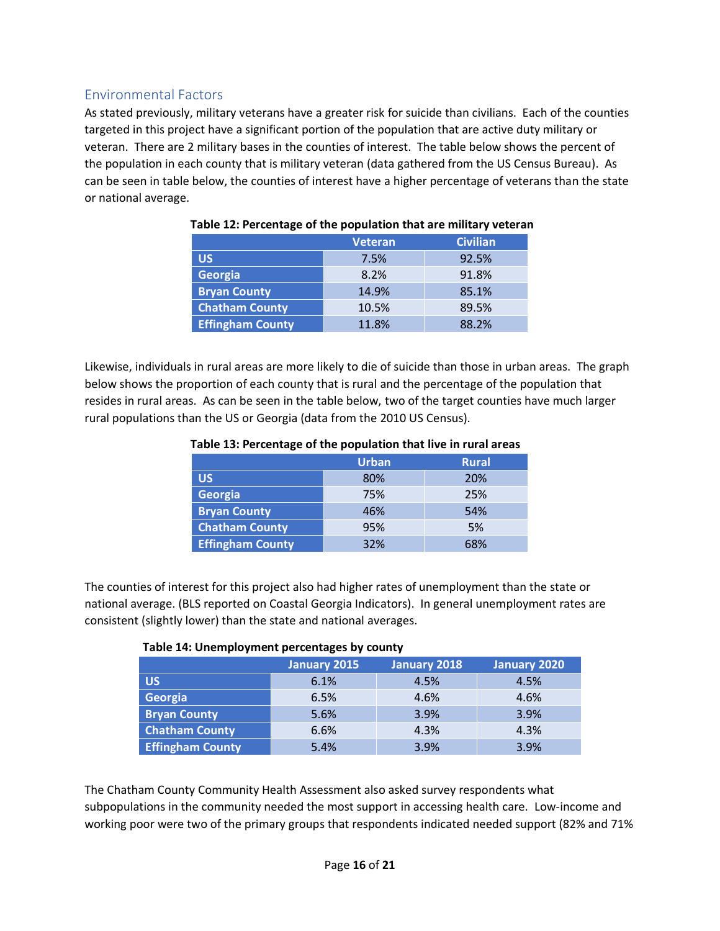# <span id="page-15-0"></span>Environmental Factors

As stated previously, military veterans have a greater risk for suicide than civilians. Each of the counties targeted in this project have a significant portion of the population that are active duty military or veteran. There are 2 military bases in the counties of interest. The table below shows the percent of the population in each county that is military veteran (data gathered from the US Census Bureau). As can be seen in table below, the counties of interest have a higher percentage of veterans than the state or national average.

|                         | <b>Veteran</b> | <b>Civilian</b> |  |
|-------------------------|----------------|-----------------|--|
| <b>US</b>               | 7.5%           | 92.5%           |  |
| Georgia                 | 8.2%           | 91.8%           |  |
| <b>Bryan County</b>     | 14.9%          | 85.1%           |  |
| <b>Chatham County</b>   | 10.5%          | 89.5%           |  |
| <b>Effingham County</b> | 11.8%          | 88.2%           |  |

### **Table 12: Percentage of the population that are military veteran**

Likewise, individuals in rural areas are more likely to die of suicide than those in urban areas. The graph below shows the proportion of each county that is rural and the percentage of the population that resides in rural areas. As can be seen in the table below, two of the target counties have much larger rural populations than the US or Georgia (data from the 2010 US Census).

|                         | <b>Urban</b> | <b>Rural</b> |
|-------------------------|--------------|--------------|
| <b>US</b>               | 80%          | 20%          |
| Georgia                 | 75%          | 25%          |
| <b>Bryan County</b>     | 46%          | 54%          |
| <b>Chatham County</b>   | 95%          | 5%           |
| <b>Effingham County</b> | 32%          | 68%          |

#### **Table 13: Percentage of the population that live in rural areas**

The counties of interest for this project also had higher rates of unemployment than the state or national average. (BLS reported on Coastal Georgia Indicators). In general unemployment rates are consistent (slightly lower) than the state and national averages.

#### **Table 14: Unemployment percentages by county**

|                         | January 2015 | January 2018 | January 2020 |
|-------------------------|--------------|--------------|--------------|
| <b>US</b>               | 6.1%         | 4.5%         | 4.5%         |
| Georgia                 | 6.5%         | 4.6%         | 4.6%         |
| <b>Bryan County</b>     | 5.6%         | 3.9%         | 3.9%         |
| <b>Chatham County</b>   | 6.6%         | 4.3%         | 4.3%         |
| <b>Effingham County</b> | 5.4%         | 3.9%         | 3.9%         |

The Chatham County Community Health Assessment also asked survey respondents what subpopulations in the community needed the most support in accessing health care. Low-income and working poor were two of the primary groups that respondents indicated needed support (82% and 71%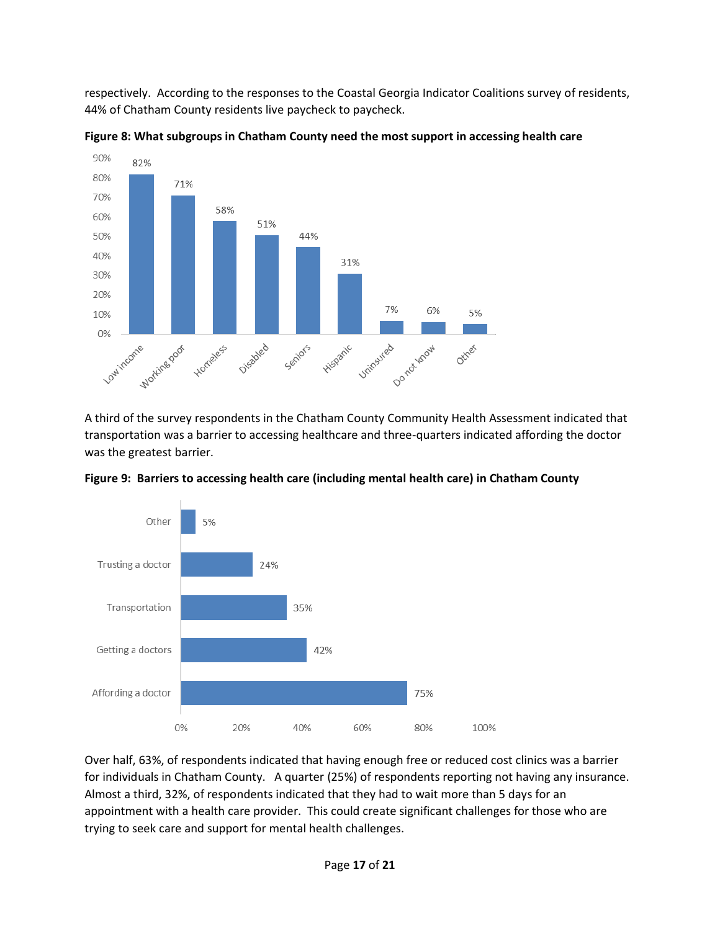respectively. According to the responses to the Coastal Georgia Indicator Coalitions survey of residents, 44% of Chatham County residents live paycheck to paycheck.



**Figure 8: What subgroups in Chatham County need the most support in accessing health care**

A third of the survey respondents in the Chatham County Community Health Assessment indicated that transportation was a barrier to accessing healthcare and three-quarters indicated affording the doctor was the greatest barrier.



**Figure 9: Barriers to accessing health care (including mental health care) in Chatham County**

Over half, 63%, of respondents indicated that having enough free or reduced cost clinics was a barrier for individuals in Chatham County. A quarter (25%) of respondents reporting not having any insurance. Almost a third, 32%, of respondents indicated that they had to wait more than 5 days for an appointment with a health care provider. This could create significant challenges for those who are trying to seek care and support for mental health challenges.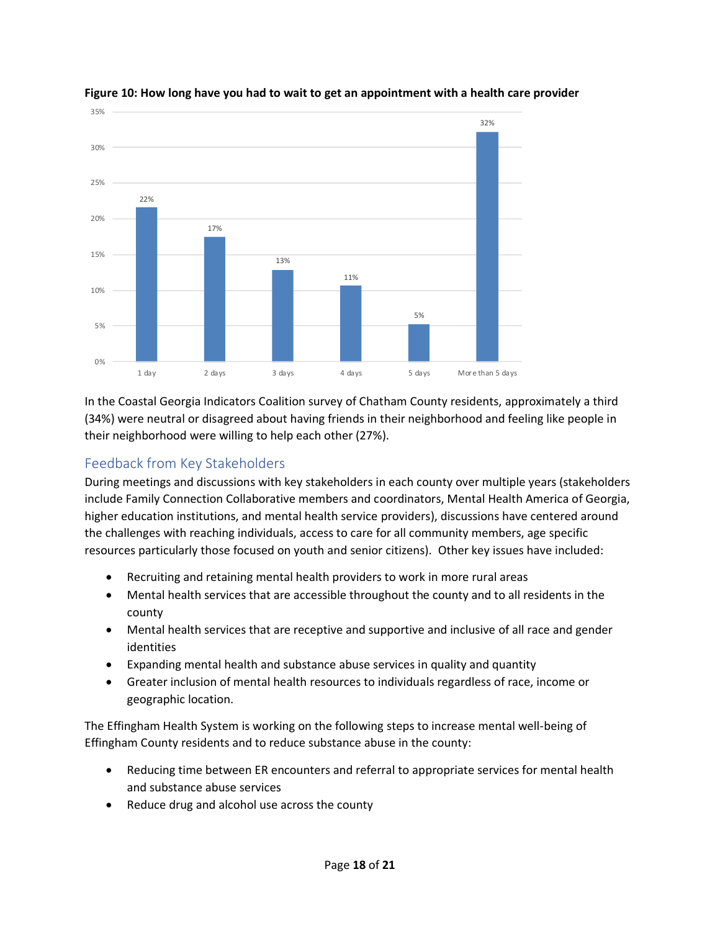

### **Figure 10: How long have you had to wait to get an appointment with a health care provider**

In the Coastal Georgia Indicators Coalition survey of Chatham County residents, approximately a third (34%) were neutral or disagreed about having friends in their neighborhood and feeling like people in their neighborhood were willing to help each other (27%).

# <span id="page-17-0"></span>Feedback from Key Stakeholders

During meetings and discussions with key stakeholders in each county over multiple years (stakeholders include Family Connection Collaborative members and coordinators, Mental Health America of Georgia, higher education institutions, and mental health service providers), discussions have centered around the challenges with reaching individuals, access to care for all community members, age specific resources particularly those focused on youth and senior citizens). Other key issues have included:

- Recruiting and retaining mental health providers to work in more rural areas
- Mental health services that are accessible throughout the county and to all residents in the county
- Mental health services that are receptive and supportive and inclusive of all race and gender identities
- Expanding mental health and substance abuse services in quality and quantity
- Greater inclusion of mental health resources to individuals regardless of race, income or geographic location.

The Effingham Health System is working on the following steps to increase mental well-being of Effingham County residents and to reduce substance abuse in the county:

- Reducing time between ER encounters and referral to appropriate services for mental health and substance abuse services
- Reduce drug and alcohol use across the county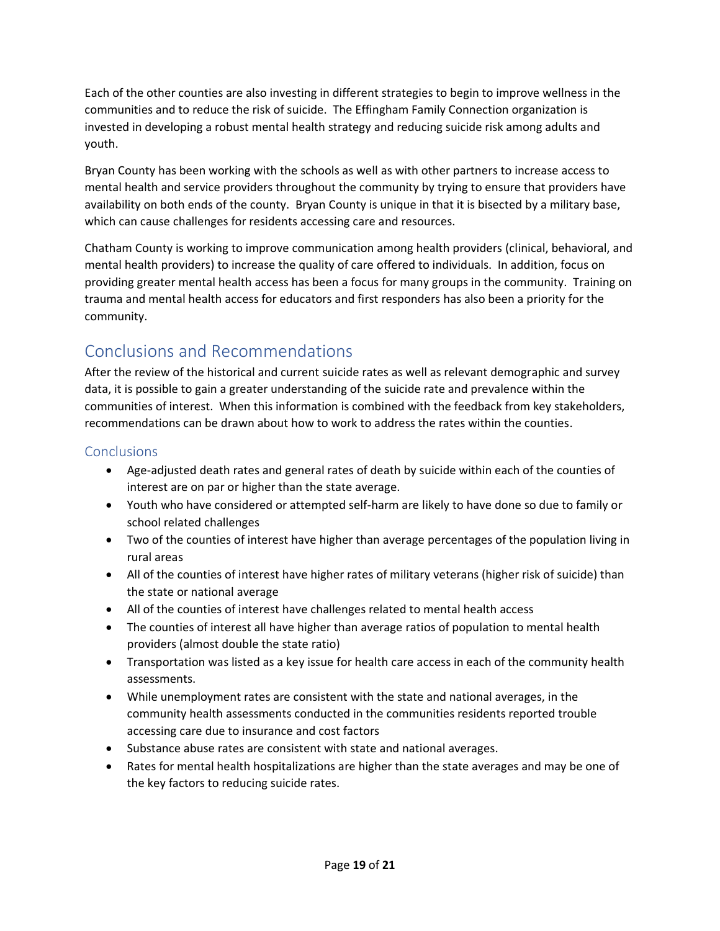Each of the other counties are also investing in different strategies to begin to improve wellness in the communities and to reduce the risk of suicide. The Effingham Family Connection organization is invested in developing a robust mental health strategy and reducing suicide risk among adults and youth.

Bryan County has been working with the schools as well as with other partners to increase access to mental health and service providers throughout the community by trying to ensure that providers have availability on both ends of the county. Bryan County is unique in that it is bisected by a military base, which can cause challenges for residents accessing care and resources.

Chatham County is working to improve communication among health providers (clinical, behavioral, and mental health providers) to increase the quality of care offered to individuals. In addition, focus on providing greater mental health access has been a focus for many groups in the community. Training on trauma and mental health access for educators and first responders has also been a priority for the community.

# <span id="page-18-0"></span>Conclusions and Recommendations

After the review of the historical and current suicide rates as well as relevant demographic and survey data, it is possible to gain a greater understanding of the suicide rate and prevalence within the communities of interest. When this information is combined with the feedback from key stakeholders, recommendations can be drawn about how to work to address the rates within the counties.

# <span id="page-18-1"></span>**Conclusions**

- Age-adjusted death rates and general rates of death by suicide within each of the counties of interest are on par or higher than the state average.
- Youth who have considered or attempted self-harm are likely to have done so due to family or school related challenges
- Two of the counties of interest have higher than average percentages of the population living in rural areas
- All of the counties of interest have higher rates of military veterans (higher risk of suicide) than the state or national average
- All of the counties of interest have challenges related to mental health access
- The counties of interest all have higher than average ratios of population to mental health providers (almost double the state ratio)
- Transportation was listed as a key issue for health care access in each of the community health assessments.
- While unemployment rates are consistent with the state and national averages, in the community health assessments conducted in the communities residents reported trouble accessing care due to insurance and cost factors
- Substance abuse rates are consistent with state and national averages.
- Rates for mental health hospitalizations are higher than the state averages and may be one of the key factors to reducing suicide rates.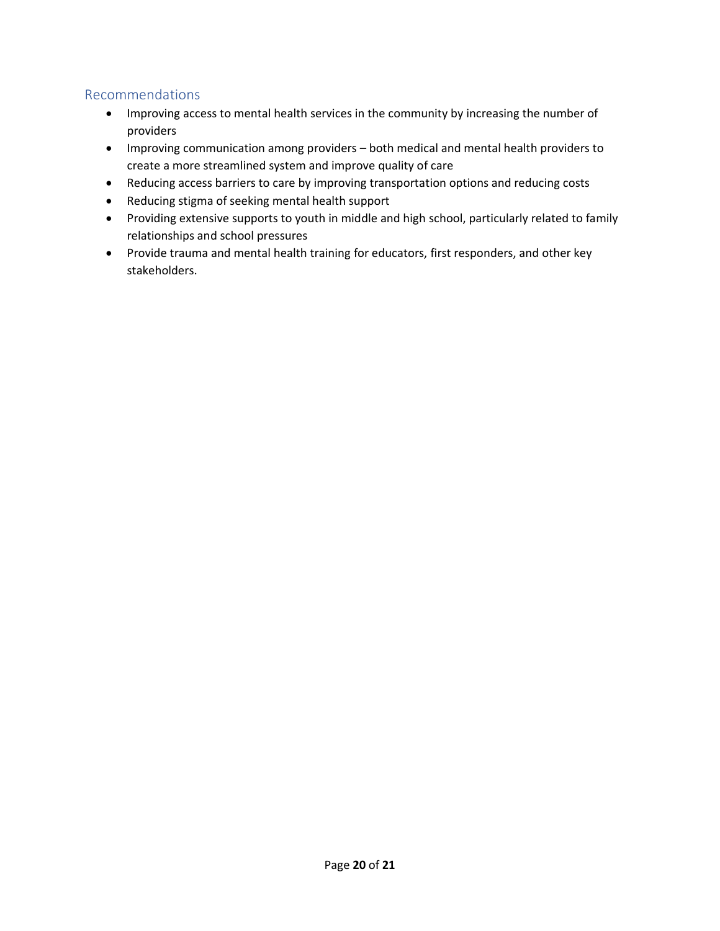## <span id="page-19-0"></span>Recommendations

- Improving access to mental health services in the community by increasing the number of providers
- Improving communication among providers both medical and mental health providers to create a more streamlined system and improve quality of care
- Reducing access barriers to care by improving transportation options and reducing costs
- Reducing stigma of seeking mental health support
- Providing extensive supports to youth in middle and high school, particularly related to family relationships and school pressures
- Provide trauma and mental health training for educators, first responders, and other key stakeholders.